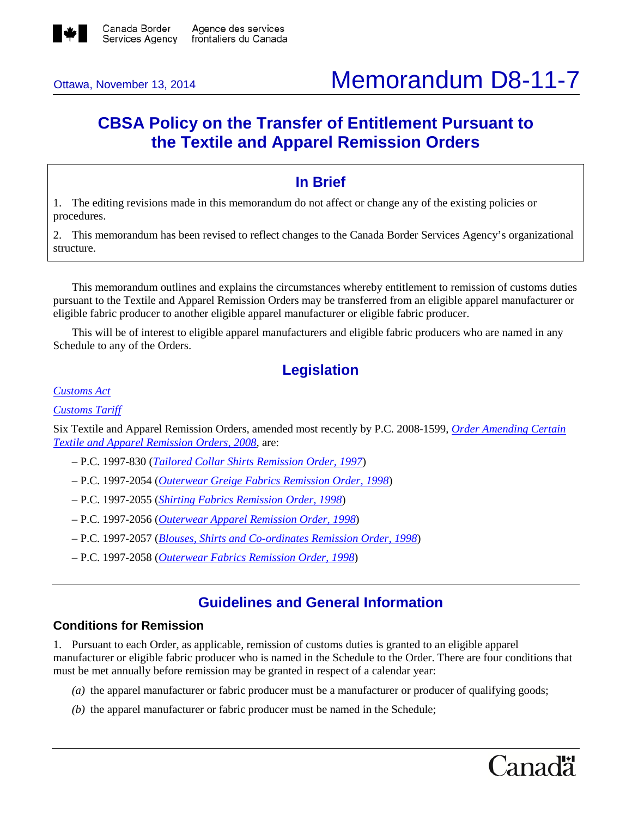

# Ottawa, November 13, 2014 **Memorandum D8-11-7**

## **CBSA Policy on the Transfer of Entitlement Pursuant to the Textile and Apparel Remission Orders**

## **In Brief**

1. The editing revisions made in this memorandum do not affect or change any of the existing policies or procedures.

2. This memorandum has been revised to reflect changes to the Canada Border Services Agency's organizational structure.

This memorandum outlines and explains the circumstances whereby entitlement to remission of customs duties pursuant to the Textile and Apparel Remission Orders may be transferred from an eligible apparel manufacturer or eligible fabric producer to another eligible apparel manufacturer or eligible fabric producer.

This will be of interest to eligible apparel manufacturers and eligible fabric producers who are named in any Schedule to any of the Orders.

## **Legislation**

*[Customs Act](http://laws-lois.justice.gc.ca/eng/acts/C-52.6/FullText.html)*

*[Customs Tariff](http://www.cbsa-asfc.gc.ca/trade-commerce/tariff-tarif/)*

Six Textile and Apparel Remission Orders, amended most recently by P.C. 2008-1599, *[Order Amending Certain](http://www.gazette.gc.ca/rp-pr/p2/2008/2008-09-17/html/sor-dors256-eng.html)  [Textile and Apparel Remission Orders, 2008](http://www.gazette.gc.ca/rp-pr/p2/2008/2008-09-17/html/sor-dors256-eng.html)*, are:

- *–* P.C. 1997-830 (*[Tailored Collar Shirts Remission Order, 1997](http://laws-lois.justice.gc.ca/eng/regulations/SOR-97-291/FullText.html)*)
- *–* P.C. 1997-2054 (*Outerwear [Greige Fabrics Remission Order, 1998](http://laws-lois.justice.gc.ca/eng/regulations/SOR-98-86/FullText.html)*)
- *–* P.C. 1997-2055 (*[Shirting Fabrics Remission Order, 1998](http://laws-lois.justice.gc.ca/eng/regulations/SOR-98-87/FullText.html)*)
- *–* P.C. 1997-2056 (*[Outerwear Apparel Remission Order, 1998](http://laws-lois.justice.gc.ca/eng/regulations/SOR-98-88/FullText.html)*)
- P.C. 1997-2057 (*[Blouses, Shirts and Co-ordinates Remission Order, 1998](http://laws-lois.justice.gc.ca/eng/regulations/SOR-98-89/FullText.html)*)
- P.C. 1997-2058 (*[Outerwear Fabrics Remission Order, 1998](http://laws-lois.justice.gc.ca/eng/regulations/SOR-98-90/FullText.html)*)

## **Guidelines and General Information**

#### **Conditions for Remission**

1. Pursuant to each Order, as applicable, remission of customs duties is granted to an eligible apparel manufacturer or eligible fabric producer who is named in the Schedule to the Order. There are four conditions that must be met annually before remission may be granted in respect of a calendar year:

- *(a)* the apparel manufacturer or fabric producer must be a manufacturer or producer of qualifying goods;
- *(b)* the apparel manufacturer or fabric producer must be named in the Schedule;

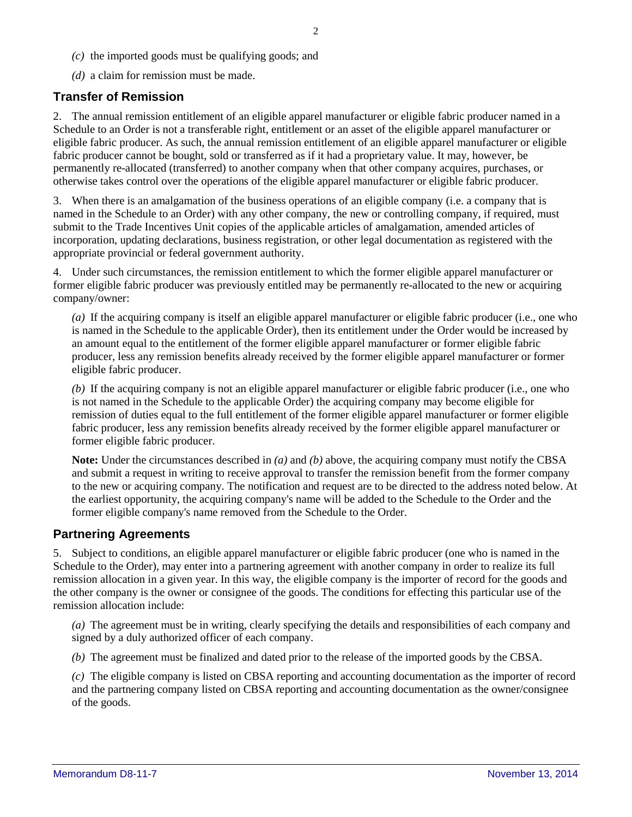- *(c)* the imported goods must be qualifying goods; and
- *(d)* a claim for remission must be made.

#### **Transfer of Remission**

2. The annual remission entitlement of an eligible apparel manufacturer or eligible fabric producer named in a Schedule to an Order is not a transferable right, entitlement or an asset of the eligible apparel manufacturer or eligible fabric producer. As such, the annual remission entitlement of an eligible apparel manufacturer or eligible fabric producer cannot be bought, sold or transferred as if it had a proprietary value. It may, however, be permanently re-allocated (transferred) to another company when that other company acquires, purchases, or otherwise takes control over the operations of the eligible apparel manufacturer or eligible fabric producer.

3. When there is an amalgamation of the business operations of an eligible company (i.e. a company that is named in the Schedule to an Order) with any other company, the new or controlling company, if required, must submit to the Trade Incentives Unit copies of the applicable articles of amalgamation, amended articles of incorporation, updating declarations, business registration, or other legal documentation as registered with the appropriate provincial or federal government authority.

4. Under such circumstances, the remission entitlement to which the former eligible apparel manufacturer or former eligible fabric producer was previously entitled may be permanently re-allocated to the new or acquiring company/owner:

*(a)* If the acquiring company is itself an eligible apparel manufacturer or eligible fabric producer (i.e., one who is named in the Schedule to the applicable Order), then its entitlement under the Order would be increased by an amount equal to the entitlement of the former eligible apparel manufacturer or former eligible fabric producer, less any remission benefits already received by the former eligible apparel manufacturer or former eligible fabric producer.

*(b)* If the acquiring company is not an eligible apparel manufacturer or eligible fabric producer (i.e., one who is not named in the Schedule to the applicable Order) the acquiring company may become eligible for remission of duties equal to the full entitlement of the former eligible apparel manufacturer or former eligible fabric producer, less any remission benefits already received by the former eligible apparel manufacturer or former eligible fabric producer.

**Note:** Under the circumstances described in *(a)* and *(b)* above, the acquiring company must notify the CBSA and submit a request in writing to receive approval to transfer the remission benefit from the former company to the new or acquiring company. The notification and request are to be directed to the address noted below. At the earliest opportunity, the acquiring company's name will be added to the Schedule to the Order and the former eligible company's name removed from the Schedule to the Order.

#### **Partnering Agreements**

5. Subject to conditions, an eligible apparel manufacturer or eligible fabric producer (one who is named in the Schedule to the Order), may enter into a partnering agreement with another company in order to realize its full remission allocation in a given year. In this way, the eligible company is the importer of record for the goods and the other company is the owner or consignee of the goods. The conditions for effecting this particular use of the remission allocation include:

*(a)* The agreement must be in writing, clearly specifying the details and responsibilities of each company and signed by a duly authorized officer of each company.

*(b)* The agreement must be finalized and dated prior to the release of the imported goods by the CBSA.

*(c)* The eligible company is listed on CBSA reporting and accounting documentation as the importer of record and the partnering company listed on CBSA reporting and accounting documentation as the owner/consignee of the goods.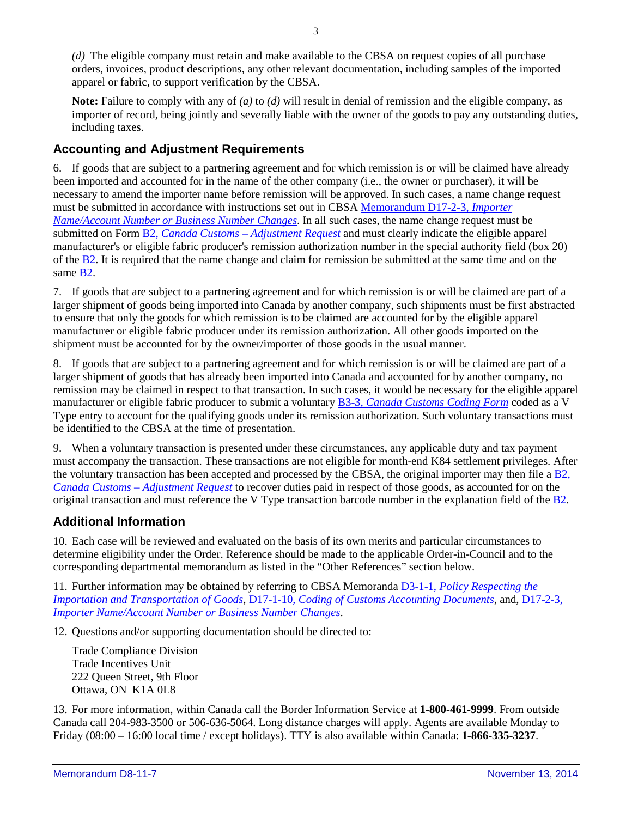*(d)* The eligible company must retain and make available to the CBSA on request copies of all purchase orders, invoices, product descriptions, any other relevant documentation, including samples of the imported apparel or fabric, to support verification by the CBSA.

**Note:** Failure to comply with any of *(a)* to *(d)* will result in denial of remission and the eligible company, as importer of record, being jointly and severally liable with the owner of the goods to pay any outstanding duties, including taxes.

### **Accounting and Adjustment Requirements**

6. If goods that are subject to a partnering agreement and for which remission is or will be claimed have already been imported and accounted for in the name of the other company (i.e., the owner or purchaser), it will be necessary to amend the importer name before remission will be approved. In such cases, a name change request must be submitted in accordance with instructions set out in CBSA [Memorandum D17-2-3,](http://www.cbsa.gc.ca/publications/dm-md/d17/d17-2-3-eng.html) *Importer [Name/Account Number or Business Number Changes](http://www.cbsa.gc.ca/publications/dm-md/d17/d17-2-3-eng.html)*. In all such cases, the name change request must be submitted on Form B2, *Canada Customs – [Adjustment Request](http://www.cbsa.gc.ca/publications/forms-formulaires/b2-eng.html)* and must clearly indicate the eligible apparel manufacturer's or eligible fabric producer's remission authorization number in the special authority field (box 20) of th[e B2.](http://www.cbsa.gc.ca/publications/forms-formulaires/b2-eng.html) It is required that the name change and claim for remission be submitted at the same time and on the same [B2.](http://www.cbsa.gc.ca/publications/forms-formulaires/b2-eng.html)

7. If goods that are subject to a partnering agreement and for which remission is or will be claimed are part of a larger shipment of goods being imported into Canada by another company, such shipments must be first abstracted to ensure that only the goods for which remission is to be claimed are accounted for by the eligible apparel manufacturer or eligible fabric producer under its remission authorization. All other goods imported on the shipment must be accounted for by the owner/importer of those goods in the usual manner.

8. If goods that are subject to a partnering agreement and for which remission is or will be claimed are part of a larger shipment of goods that has already been imported into Canada and accounted for by another company, no remission may be claimed in respect to that transaction. In such cases, it would be necessary for the eligible apparel manufacturer or eligible fabric producer to submit a voluntary B3-3, *[Canada Customs Coding Form](http://www.cbsa.gc.ca/publications/forms-formulaires/b3-3-eng.html)* coded as a V Type entry to account for the qualifying goods under its remission authorization. Such voluntary transactions must be identified to the CBSA at the time of presentation.

9. When a voluntary transaction is presented under these circumstances, any applicable duty and tax payment must accompany the transaction. These transactions are not eligible for month-end K84 settlement privileges. After the voluntary transaction has been accepted and processed by the CBSA, the original importer may then file a [B2,](http://www.cbsa.gc.ca/publications/forms-formulaires/b2-eng.html)  *Canada Customs – [Adjustment Request](http://www.cbsa.gc.ca/publications/forms-formulaires/b2-eng.html)* to recover duties paid in respect of those goods, as accounted for on the original transaction and must reference the V Type transaction barcode number in the explanation field of th[e B2.](http://www.cbsa.gc.ca/publications/forms-formulaires/b2-eng.html)

#### **Additional Information**

10. Each case will be reviewed and evaluated on the basis of its own merits and particular circumstances to determine eligibility under the Order. Reference should be made to the applicable Order-in-Council and to the corresponding departmental memorandum as listed in the "Other References" section below.

11. Further information may be obtained by referring to CBSA Memoranda D3-1-1, *[Policy Respecting the](http://www.cbsa.gc.ca/publications/dm-md/d3/d3-1-1-eng.html)  [Importation and Transportation of Goods](http://www.cbsa.gc.ca/publications/dm-md/d3/d3-1-1-eng.html)*, D17-1-10, *[Coding of Customs Accounting](http://www.cbsa.gc.ca/publications/dm-md/d17/d17-1-10-eng.html) Documents*, and[, D17-2-3,](http://www.cbsa.gc.ca/publications/dm-md/d17/d17-2-3-eng.html)  *[Importer Name/Account Number or Business Number Changes](http://www.cbsa.gc.ca/publications/dm-md/d17/d17-2-3-eng.html)*.

12. Questions and/or supporting documentation should be directed to:

Trade Compliance Division Trade Incentives Unit 222 Queen Street, 9th Floor Ottawa, ON K1A 0L8

13. For more information, within Canada call the Border Information Service at **1-800-461-9999**. From outside Canada call 204-983-3500 or 506-636-5064. Long distance charges will apply. Agents are available Monday to Friday (08:00 – 16:00 local time / except holidays). TTY is also available within Canada: **1-866-335-3237**.